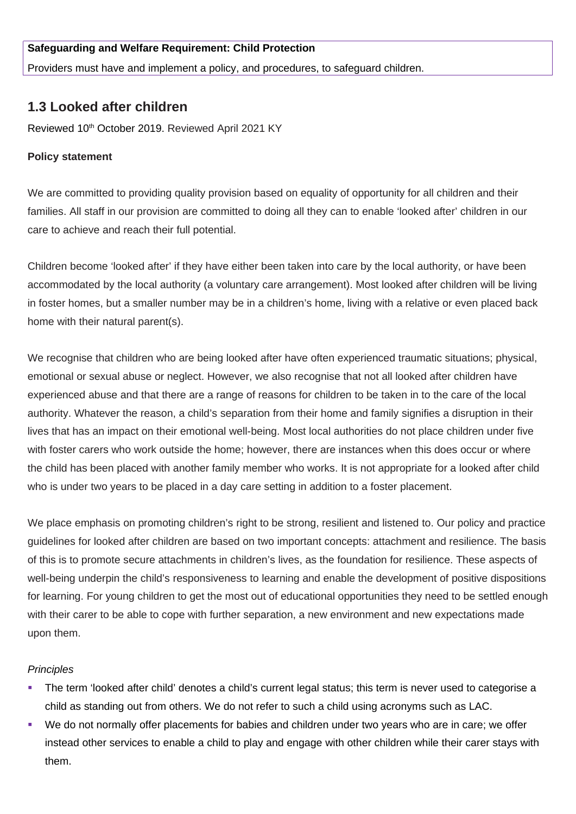## **Safeguarding and Welfare Requirement: Child Protection**

Providers must have and implement a policy, and procedures, to safeguard children.

# **1.3 Looked after children**

Reviewed 10<sup>th</sup> October 2019. Reviewed April 2021 KY

### **Policy statement**

We are committed to providing quality provision based on equality of opportunity for all children and their families. All staff in our provision are committed to doing all they can to enable 'looked after' children in our care to achieve and reach their full potential.

Children become 'looked after' if they have either been taken into care by the local authority, or have been accommodated by the local authority (a voluntary care arrangement). Most looked after children will be living in foster homes, but a smaller number may be in a children's home, living with a relative or even placed back home with their natural parent(s).

We recognise that children who are being looked after have often experienced traumatic situations; physical, emotional or sexual abuse or neglect. However, we also recognise that not all looked after children have experienced abuse and that there are a range of reasons for children to be taken in to the care of the local authority. Whatever the reason, a child's separation from their home and family signifies a disruption in their lives that has an impact on their emotional well-being. Most local authorities do not place children under five with foster carers who work outside the home; however, there are instances when this does occur or where the child has been placed with another family member who works. It is not appropriate for a looked after child who is under two years to be placed in a day care setting in addition to a foster placement.

We place emphasis on promoting children's right to be strong, resilient and listened to. Our policy and practice guidelines for looked after children are based on two important concepts: attachment and resilience. The basis of this is to promote secure attachments in children's lives, as the foundation for resilience. These aspects of well-being underpin the child's responsiveness to learning and enable the development of positive dispositions for learning. For young children to get the most out of educational opportunities they need to be settled enough with their carer to be able to cope with further separation, a new environment and new expectations made upon them.

#### *Principles*

- The term 'looked after child' denotes a child's current legal status; this term is never used to categorise a child as standing out from others. We do not refer to such a child using acronyms such as LAC.
- We do not normally offer placements for babies and children under two years who are in care; we offer instead other services to enable a child to play and engage with other children while their carer stays with them.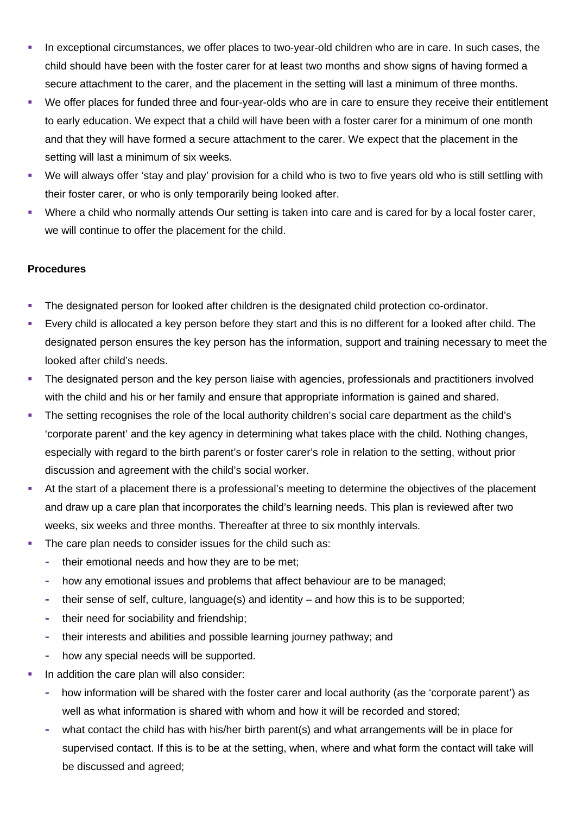- In exceptional circumstances, we offer places to two-year-old children who are in care. In such cases, the child should have been with the foster carer for at least two months and show signs of having formed a secure attachment to the carer, and the placement in the setting will last a minimum of three months.
- We offer places for funded three and four-year-olds who are in care to ensure they receive their entitlement to early education. We expect that a child will have been with a foster carer for a minimum of one month and that they will have formed a secure attachment to the carer. We expect that the placement in the setting will last a minimum of six weeks.
- We will always offer 'stay and play' provision for a child who is two to five years old who is still settling with their foster carer, or who is only temporarily being looked after.
- Where a child who normally attends Our setting is taken into care and is cared for by a local foster carer, we will continue to offer the placement for the child.

## **Procedures**

- The designated person for looked after children is the designated child protection co-ordinator.
- Every child is allocated a key person before they start and this is no different for a looked after child. The designated person ensures the key person has the information, support and training necessary to meet the looked after child's needs.
- The designated person and the key person liaise with agencies, professionals and practitioners involved with the child and his or her family and ensure that appropriate information is gained and shared.
- The setting recognises the role of the local authority children's social care department as the child's 'corporate parent' and the key agency in determining what takes place with the child. Nothing changes, especially with regard to the birth parent's or foster carer's role in relation to the setting, without prior discussion and agreement with the child's social worker.
- At the start of a placement there is a professional's meeting to determine the objectives of the placement and draw up a care plan that incorporates the child's learning needs. This plan is reviewed after two weeks, six weeks and three months. Thereafter at three to six monthly intervals.
- The care plan needs to consider issues for the child such as:
	- **-** their emotional needs and how they are to be met;
	- **-** how any emotional issues and problems that affect behaviour are to be managed;
	- **-** their sense of self, culture, language(s) and identity and how this is to be supported;
	- **-** their need for sociability and friendship;
	- **-** their interests and abilities and possible learning journey pathway; and
	- **-** how any special needs will be supported.
- In addition the care plan will also consider:
	- **-** how information will be shared with the foster carer and local authority (as the 'corporate parent') as well as what information is shared with whom and how it will be recorded and stored;
	- **-** what contact the child has with his/her birth parent(s) and what arrangements will be in place for supervised contact. If this is to be at the setting, when, where and what form the contact will take will be discussed and agreed;